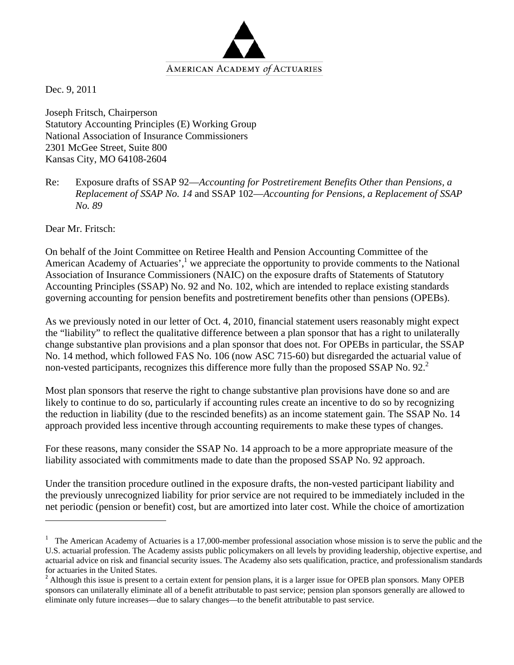

Dec. 9, 2011

Joseph Fritsch, Chairperson Statutory Accounting Principles (E) Working Group National Association of Insurance Commissioners 2301 McGee Street, Suite 800 Kansas City, MO 64108-2604

Re: Exposure drafts of SSAP 92—*Accounting for Postretirement Benefits Other than Pensions, a Replacement of SSAP No. 14* and SSAP 102—*Accounting for Pensions, a Replacement of SSAP No. 89* 

Dear Mr. Fritsch:

On behalf of the Joint Committee on Retiree Health and Pension Accounting Committee of the American Academy of Actuaries', $<sup>1</sup>$  we appreciate the opportunity to provide comments to the National</sup> Association of Insurance Commissioners (NAIC) on the exposure drafts of Statements of Statutory Accounting Principles (SSAP) No. 92 and No. 102, which are intended to replace existing standards governing accounting for pension benefits and postretirement benefits other than pensions (OPEBs).

As we previously noted in our letter of Oct. 4, 2010, financial statement users reasonably might expect the "liability" to reflect the qualitative difference between a plan sponsor that has a right to unilaterally change substantive plan provisions and a plan sponsor that does not. For OPEBs in particular, the SSAP No. 14 method, which followed FAS No. 106 (now ASC 715-60) but disregarded the actuarial value of non-vested participants, recognizes this difference more fully than the proposed SSAP No. 92. $2$ 

Most plan sponsors that reserve the right to change substantive plan provisions have done so and are likely to continue to do so, particularly if accounting rules create an incentive to do so by recognizing the reduction in liability (due to the rescinded benefits) as an income statement gain. The SSAP No. 14 approach provided less incentive through accounting requirements to make these types of changes.

For these reasons, many consider the SSAP No. 14 approach to be a more appropriate measure of the liability associated with commitments made to date than the proposed SSAP No. 92 approach.

Under the transition procedure outlined in the exposure drafts, the non-vested participant liability and the previously unrecognized liability for prior service are not required to be immediately included in the net periodic (pension or benefit) cost, but are amortized into later cost. While the choice of amortization

<sup>1</sup> The American Academy of Actuaries is a 17,000-member professional association whose mission is to serve the public and the U.S. actuarial profession. The Academy assists public policymakers on all levels by providing leadership, objective expertise, and actuarial advice on risk and financial security issues. The Academy also sets qualification, practice, and professionalism standards for actuaries in the United States.

<sup>&</sup>lt;sup>2</sup> Although this issue is present to a certain extent for pension plans, it is a larger issue for OPEB plan sponsors. Many OPEB sponsors can unilaterally eliminate all of a benefit attributable to past service; pension plan sponsors generally are allowed to eliminate only future increases—due to salary changes—to the benefit attributable to past service.